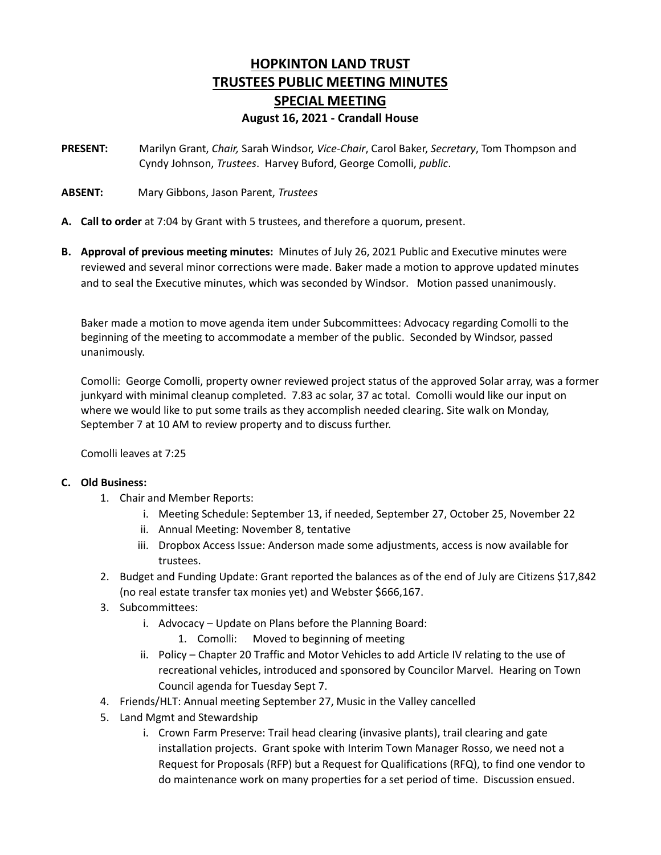## **HOPKINTON LAND TRUST TRUSTEES PUBLIC MEETING MINUTES SPECIAL MEETING August 16, 2021 - Crandall House**

- **PRESENT:** Marilyn Grant, *Chair,* Sarah Windsor, *Vice-Chair*, Carol Baker, *Secretary*, Tom Thompson and Cyndy Johnson, *Trustees*. Harvey Buford, George Comolli, *public*.
- **ABSENT:** Mary Gibbons, Jason Parent, *Trustees*
- **A. Call to order** at 7:04 by Grant with 5 trustees, and therefore a quorum, present.
- **B. Approval of previous meeting minutes:** Minutes of July 26, 2021 Public and Executive minutes were reviewed and several minor corrections were made. Baker made a motion to approve updated minutes and to seal the Executive minutes, which was seconded by Windsor. Motion passed unanimously.

Baker made a motion to move agenda item under Subcommittees: Advocacy regarding Comolli to the beginning of the meeting to accommodate a member of the public. Seconded by Windsor, passed unanimously.

Comolli: George Comolli, property owner reviewed project status of the approved Solar array, was a former junkyard with minimal cleanup completed. 7.83 ac solar, 37 ac total. Comolli would like our input on where we would like to put some trails as they accomplish needed clearing. Site walk on Monday, September 7 at 10 AM to review property and to discuss further.

Comolli leaves at 7:25

## **C. Old Business:**

- 1. Chair and Member Reports:
	- i. Meeting Schedule: September 13, if needed, September 27, October 25, November 22
	- ii. Annual Meeting: November 8, tentative
	- iii. Dropbox Access Issue: Anderson made some adjustments, access is now available for trustees.
- 2. Budget and Funding Update: Grant reported the balances as of the end of July are Citizens \$17,842 (no real estate transfer tax monies yet) and Webster \$666,167.
- 3. Subcommittees:
	- i. Advocacy Update on Plans before the Planning Board:
		- 1. Comolli: Moved to beginning of meeting
	- ii. Policy Chapter 20 Traffic and Motor Vehicles to add Article IV relating to the use of recreational vehicles, introduced and sponsored by Councilor Marvel. Hearing on Town Council agenda for Tuesday Sept 7.
- 4. Friends/HLT: Annual meeting September 27, Music in the Valley cancelled
- 5. Land Mgmt and Stewardship
	- i. Crown Farm Preserve: Trail head clearing (invasive plants), trail clearing and gate installation projects. Grant spoke with Interim Town Manager Rosso, we need not a Request for Proposals (RFP) but a Request for Qualifications (RFQ), to find one vendor to do maintenance work on many properties for a set period of time. Discussion ensued.